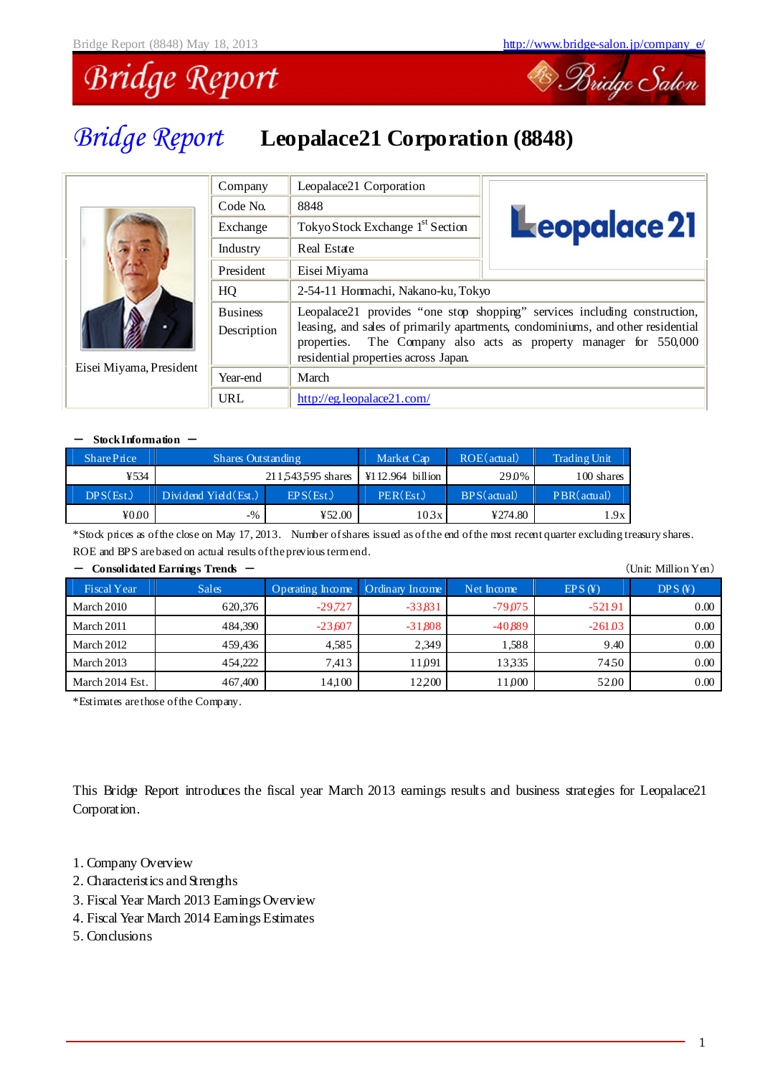

# *Bridge Report* **Leopalace21 Corporation (8848)**

|                         | Company                        | Leopalace21 Corporation                             |                                                                                                                                                                                                                       |  |  |  |
|-------------------------|--------------------------------|-----------------------------------------------------|-----------------------------------------------------------------------------------------------------------------------------------------------------------------------------------------------------------------------|--|--|--|
|                         | Code No.                       | 8848                                                |                                                                                                                                                                                                                       |  |  |  |
|                         | Exchange                       | Tokyo Stock Exchange 1 <sup>st</sup> Section        | Leopalace 21                                                                                                                                                                                                          |  |  |  |
|                         | Industry                       | Real Estate                                         |                                                                                                                                                                                                                       |  |  |  |
|                         | President                      | Eisei Miyama                                        |                                                                                                                                                                                                                       |  |  |  |
|                         | HQ                             | 2-54-11 Honmachi, Nakano-ku, Tokyo                  |                                                                                                                                                                                                                       |  |  |  |
|                         | <b>Business</b><br>Description | properties.<br>residential properties across Japan. | Leopalace21 provides "one stop shopping" services including construction,<br>leasing, and sales of primarily apartments, condominiums, and other residential<br>The Company also acts as property manager for 550,000 |  |  |  |
| Eisei Miyama, President | Year-end                       | March                                               |                                                                                                                                                                                                                       |  |  |  |
|                         | URL                            | http://eg.leopalace21.com/                          |                                                                                                                                                                                                                       |  |  |  |

#### - StockInformation -

| SharePrice                   | Shares Outstanding    |                  | Market Cap                | ROE(actual) | <b>Trading Unit</b> |
|------------------------------|-----------------------|------------------|---------------------------|-------------|---------------------|
| ¥534                         |                       | 211543595 shares | $\text{Y1}12.964$ billion | 29.0%       | 100 shares          |
| DPS(Est.)                    | Dividend Yield (Est.) | EPS(Est.)        | PER(Est.)                 | BPS(actual) | PBR(actual)         |
| $\textnormal{\texttt{4000}}$ | $-$ %                 | 452.00           | 103x                      | ¥274.80     | 1.9x                |

\*Stock prices as ofthe close on May 17, 2013. Number ofshares issued as ofthe end ofthe most recent quarter excluding treasury shares. ROE and BPS arebased on actual results oftheprevious termend.

| Consolidated Earlings Tienus |              |                                    |           |            |           | уошклиштон теп |
|------------------------------|--------------|------------------------------------|-----------|------------|-----------|----------------|
| <b>Fiscal Year</b>           | <b>Sales</b> | Operating Income   Ordinary Income |           | Net Income | EPS(F)    | DPS(F)         |
| March 2010                   | 620,376      | $-29,727$                          | $-33.831$ | $-79.075$  | $-52191$  | 0.00           |
| March 2011                   | 484.390      | $-23,607$                          | $-31,808$ | $-40.889$  | $-261.03$ | $0.00\,$       |
| March 2012                   | 459.436      | 4.585                              | 2.349     | 1.588      | 9.40      | 0.00           |
| March 2013                   | 454,222      | 7.413                              | 11.091    | 13335      | 7450      | 0.00           |
| March 2014 Est.              | 467,400      | 14,100                             | 12200     | 11,000     | 52.00     | 0.00           |

#### - **Consolidated Earnings Trends** - (Unit: Million Yen)

\*Estimates arethose ofthe Company.

This Bridge Report introduces the fiscal year March 2013 earnings results and business strategies for Leopalace21 Corporation.

- 1. Company Overview
- 2. Characteristics and Strengths
- 3. Fiscal Year March 2013 Earnings Overview
- 4. Fiscal Year March 2014 Earnings Estimates
- 5. Conclusions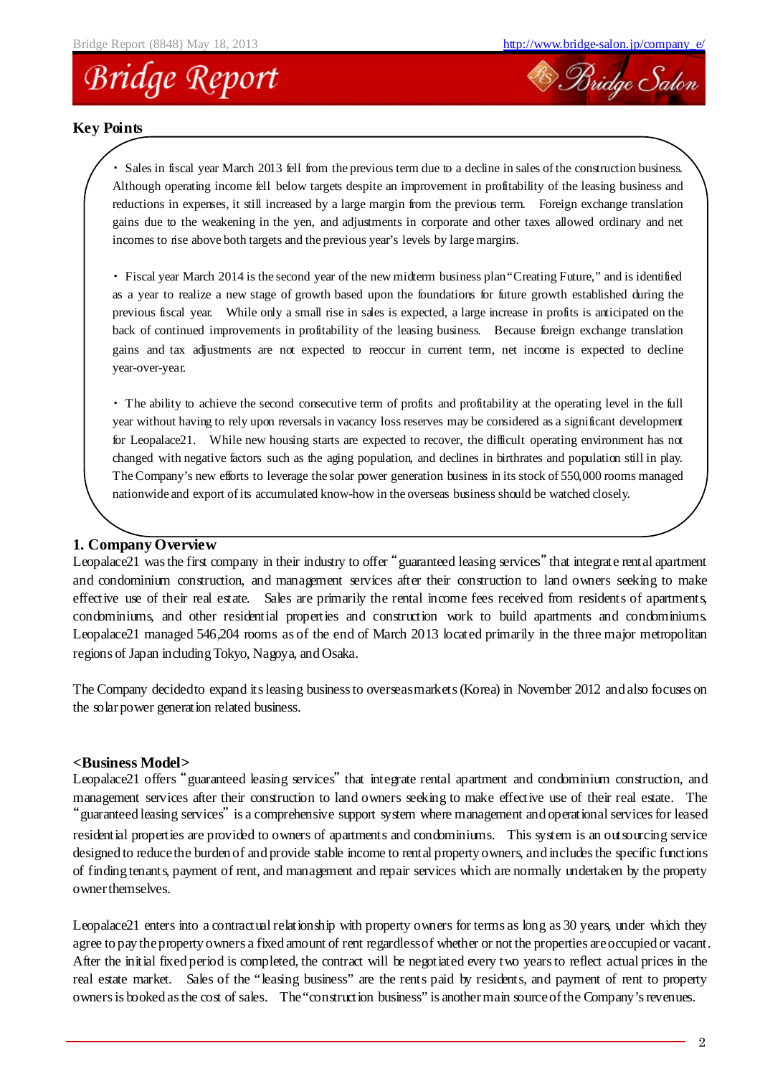



#### **Key Points**

・ Sales in fiscal year March 2013 fell from the previous term due to a decline in sales of the construction business. Although operating income fell below targets despite an improvement in profitability of the leasing business and reductions in expenses, it still increased by a large margin from the previous term. Foreign exchange translation gains due to the weakening in the yen, and adjustments in corporate and other taxes allowed ordinary and net incomes to rise above both targets and the previous year's levels by large margins.

・ Fiscal year March 2014 is the second year of the new midterm business plan"Creating Future," and is identified as a year to realize a new stage of growth based upon the foundations for future growth established during the previous fiscal year. While only a small rise in sales is expected, a large increase in profits is anticipated on the back of continued improvements in profitability of the leasing business. Because foreign exchange translation gains and tax adjustments are not expected to reoccur in current term, net income is expected to decline year-over-year.

・ The ability to achieve the second consecutive term of profits and profitability at the operating level in the full year without having to rely upon reversals in vacancy loss reserves may be considered as a significant development for Leopalace21. While new housing starts are expected to recover, the difficult operating environment has not changed with negative factors such as the aging population, and declines in birthrates and population still in play. The Company's new efforts to leverage the solar power generation business in its stock of 550,000 rooms managed nationwide and export of its accumulated know-how in the overseas business should be watched closely.

#### **1. Company Overview**

Leopalace21 was the first company in their industry to offer "guaranteed leasing services" that integrate rental apartment and condominium construction, and management services after their construction to land owners seeking to make effective use of their real estate. Sales are primarily the rental income fees received from residents of apartments, condominiums, and other residential properties and construction work to build apartments and condominiums. Leopalace21 managed 546,204 rooms as of the end of March 2013 located primarily in the three major metropolitan regions of Japan including Tokyo, Nagoya, and Osaka.

The Company decidedto expand its leasing business to overseasmarkets (Korea) in November 2012 and also focuses on the solar power generation related business.

#### **<Business Model>**

Leopalace21 offers "guaranteed leasing services" that integrate rental apartment and condominium construction, and management services after their construction to land owners seeking to make effective use of their real estate. The "guaranteed leasing services" is a comprehensive support system where management and operational services for leased residential properties are provided to owners of apartments and condominiums. This system is an outsourcing service designed to reducethe burden of and provide stable income to rental property owners, and includes the specific functions of finding tenants, payment of rent, and management and repair services which are normally undertaken by the property owner themselves.

Leopalace21 enters into a contractual relationship with property owners for terms as long as 30 years, under which they agree to pay the property owners a fixed amount of rent regardless of whether or not the properties are occupied or vacant. After the initial fixed period is completed, the contract will be negotiated every two years to reflect actual prices in the real estate market. Sales of the "leasing business" are the rents paid by residents, and payment of rent to property owners is booked as the cost of sales. The"construction business" is anothermain sourceofthe Company's revenues.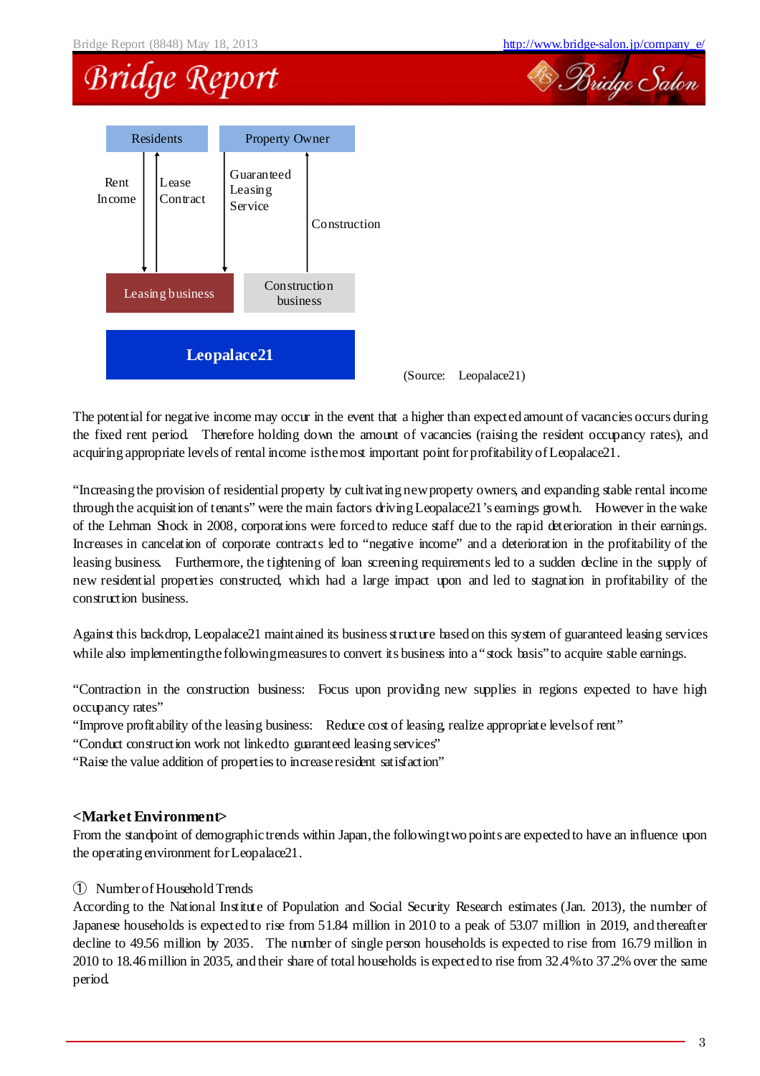## **Bridge Report**



(Source: Leopalace21)

The potential for negative income may occur in the event that a higher than expected amount of vacancies occurs during the fixed rent period. Therefore holding down the amount of vacancies (raising the resident occupancy rates), and acquiring appropriate levels of rental income isthemost important point forprofitability ofLeopalace21.

"Increasing the provision of residential property by cultivating newproperty owners, and expanding stable rental income through the acquisition of tenants" were the main factors driving Leopalace21's earnings growth. However in the wake of the Lehman Shock in 2008, corporations were forced to reduce staff due to the rapid deterioration in their earnings. Increases in cancelation of corporate contracts led to "negative income" and a deterioration in the profitability of the leasing business. Furthermore, the tightening of loan screening requirements led to a sudden decline in the supply of new residential properties constructed, which had a large impact upon and led to stagnation in profitability of the construction business.

Against this backdrop, Leopalace21 maintained its business structure based on this system of guaranteed leasing services while also implementing the following measures to convert its business into a "stock basis" to acquire stable earnings.

"Contraction in the construction business: Focus upon providing new supplies in regions expected to have high occupancy rates"

"Improve profitability ofthe leasing business: Reduce cost of leasing, realize appropriate levelsof rent"

"Conduct construction work not linkedto guaranteed leasing services"

"Raise the value addition of properties to increaseresident satisfaction"

#### **<Market Environment>**

From the standpoint of demographic trends within Japan, the following two points are expected to have an influence upon the operating environment forLeopalace21.

#### ① NumberofHousehold Trends

According to the National Institute of Population and Social Security Research estimates (Jan. 2013), the number of Japanese households is expected to rise from 51.84 million in 2010 to a peak of 53.07 million in 2019, and thereafter decline to 49.56 million by 2035. The number of single person households is expected to rise from 16.79 million in 2010 to 18.46 million in 2035, and their share of total households is expected to rise from 32.4%to 37.2% over the same period.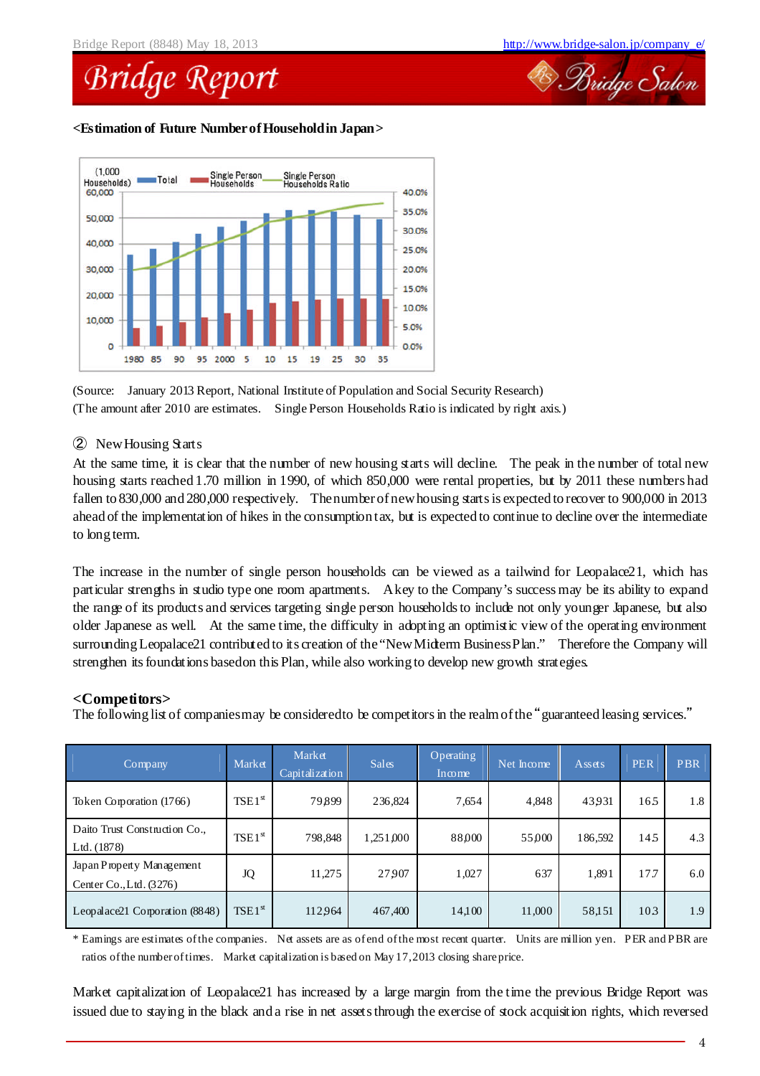

#### **<Estimation of Future NumberofHouseholdin Japan>**



(Source: January 2013 Report, National Institute of Population and Social Security Research) (The amount after 2010 are estimates. Single Person Households Ratio is indicated by right axis.)

#### ② NewHousing Starts

At the same time, it is clear that the number of new housing starts will decline. The peak in the number of total new housing starts reached 1.70 million in 1990, of which 850,000 were rental properties, but by 2011 these numbers had fallen to 830,000 and 280,000 respectively. Thenumberofnewhousing starts is expected to recover to 900,000 in 2013 ahead of the implementation of hikes in the consumption tax, but is expected to continue to decline over the intermediate to long term.

The increase in the number of single person households can be viewed as a tailwind for Leopalace21, which has particular strengths in studio type one room apartments. Akey to the Company's success may be its ability to expand the range of its products and services targeting single person households to include not only younger Japanese, but also older Japanese as well. At the same time, the difficulty in adopting an optimistic view of the operating environment surrounding Leopalace21 contributed to its creation of the "New Midterm Business Plan." Therefore the Company will strengthen its foundations basedon this Plan, while also working to develop new growth strategies.

#### **<Competitors>**

The following list of companiesmay be considered to be competitors in the realm of the "guaranteed leasing services."

| <b>Company</b>                                       | Market      | Market<br>Capitalization | <b>Sales</b> | <b>Operating</b><br>Income | Net Income | Assets  | <b>PER</b> | PBR |
|------------------------------------------------------|-------------|--------------------------|--------------|----------------------------|------------|---------|------------|-----|
| Token Corporation (1766)                             | $TSE1^{st}$ | 79899                    | 236,824      | 7,654                      | 4,848      | 43931   | 165        | 1.8 |
| Daito Trust Construction Co.,<br>Ltd. (1878)         | $TSE1^{st}$ | 798.848                  | 1,251,000    | 88000                      | 55,000     | 186,592 | 145        | 4.3 |
| Japan Property Management<br>Center Co., Ltd. (3276) | JQ          | 11,275                   | 27907        | 1,027                      | 637        | 1,891   | 17.7       | 6.0 |
| Leopalace21 Corporation (8848)                       | $TSE1^{st}$ | 112964                   | 467,400      | 14,100                     | 11,000     | 58,151  | 103        | 1.9 |

\* Earnings are estimates ofthe companies. Net assets are as ofend ofthe most recent quarter. Units are million yen. PER and PBR are ratios ofthe numberoftimes. Market capitalization is based on May 17,2013 closing shareprice.

Market capitalization of Leopalace21 has increased by a large margin from the time the previous Bridge Report was issued due to staying in the black and a rise in net assets through the exercise of stock acquisition rights, which reversed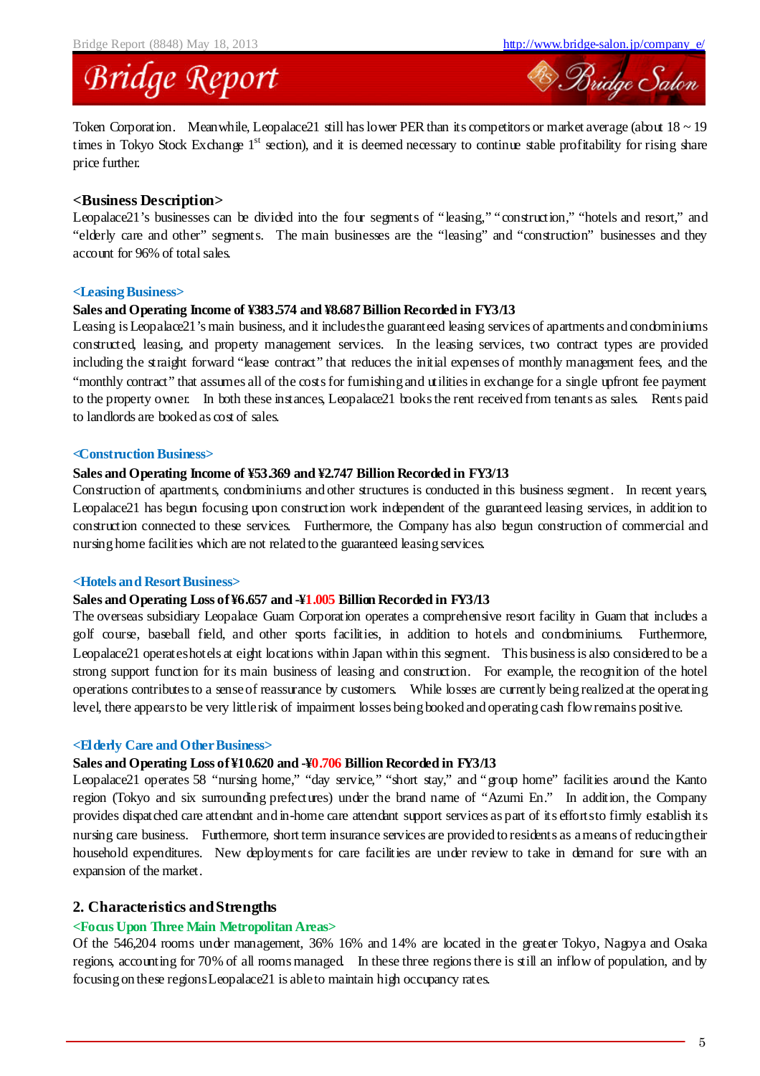

Token Corporation. Meanwhile, Leopalace21 still has lower PER than its competitors or market average (about  $18 \sim 19$ ) times in Tokyo Stock Exchange  $1<sup>st</sup>$  section), and it is deemed necessary to continue stable profitability for rising share price further.

#### **<Business Description>**

Leopalace21's businesses can be divided into the four segments of "leasing," "construction," "hotels and resort," and "elderly care and other" segments. The main businesses are the "leasing" and "construction" businesses and they account for 96% of total sales.

#### **<Leasing Business>**

#### **Sales and Operating Income of ¥383.574 and ¥8.687 Billion Recorded in FY3/13**

Leasing is Leopalace21's main business, and it includes the guaranteed leasing services of apartments and condominiums constructed, leasing, and property management services. In the leasing services, two contract types are provided including the straight forward "lease contract" that reduces the initial expenses of monthly management fees, and the "monthly contract" that assumes all of the costs for furnishing and utilities in exchange for a single upfront fee payment to the property owner. In both these instances, Leopalace21 books the rent received from tenants as sales. Rents paid to landlords are booked as cost of sales.

#### **<Construction Business>**

#### **Sales and Operating Income of ¥53.369 and ¥2.747 Billion Recorded in FY3/13**

Construction of apartments, condominiums and other structures is conducted in this business segment. In recent years, Leopalace21 has begun focusing upon construction work independent of the guaranteed leasing services, in addition to construction connected to these services. Furthermore, the Company has also begun construction of commercial and nursing home facilities which are not related to the guaranteed leasing services.

#### **<Hotels and ResortBusiness>**

#### **Sales and Operating Loss of¥6.657 and -¥1.005 Billion Recorded in FY3/13**

The overseas subsidiary Leopalace Guam Corporation operates a comprehensive resort facility in Guam that includes a golf course, baseball field, and other sports facilities, in addition to hotels and condominiums. Furthermore, Leopalace21 operateshotels at eight locations within Japan within this segment. This business is also considered to be a strong support function for its main business of leasing and construction. For example, the recognition of the hotel operations contributes to a senseof reassurance by customers. While losses are currently being realized at the operating level, there appearsto be very littlerisk of impairment losses being booked and operating cash flowremains positive.

#### **<Elderly Care and OtherBusiness>**

#### **Sales and Operating Loss of¥10.620 and -¥0.706 Billion Recorded in FY3/13**

Leopalace21 operates 58 "nursing home," "day service," "short stay," and "group home" facilities around the Kanto region (Tokyo and six surrounding prefectures) under the brand name of "Azumi En." In addition, the Company provides dispatched care attendant and in-home care attendant support services as part of its effortsto firmly establish its nursing care business. Furthermore, short term insurance services are provided to residents as ameans of reducingtheir household expenditures. New deployments for care facilities are under review to take in demand for sure with an expansion of the market.

#### **2. Characteristics andStrengths**

#### **<Focus Upon Three Main Metropolitan Areas>**

Of the 546,204 rooms under management, 36% 16% and 14% are located in the greater Tokyo, Nagoya and Osaka regions, accounting for 70% of all rooms managed. In these three regions there is still an inflow of population, and by focusing on these regionsLeopalace21 is ableto maintain high occupancy rates.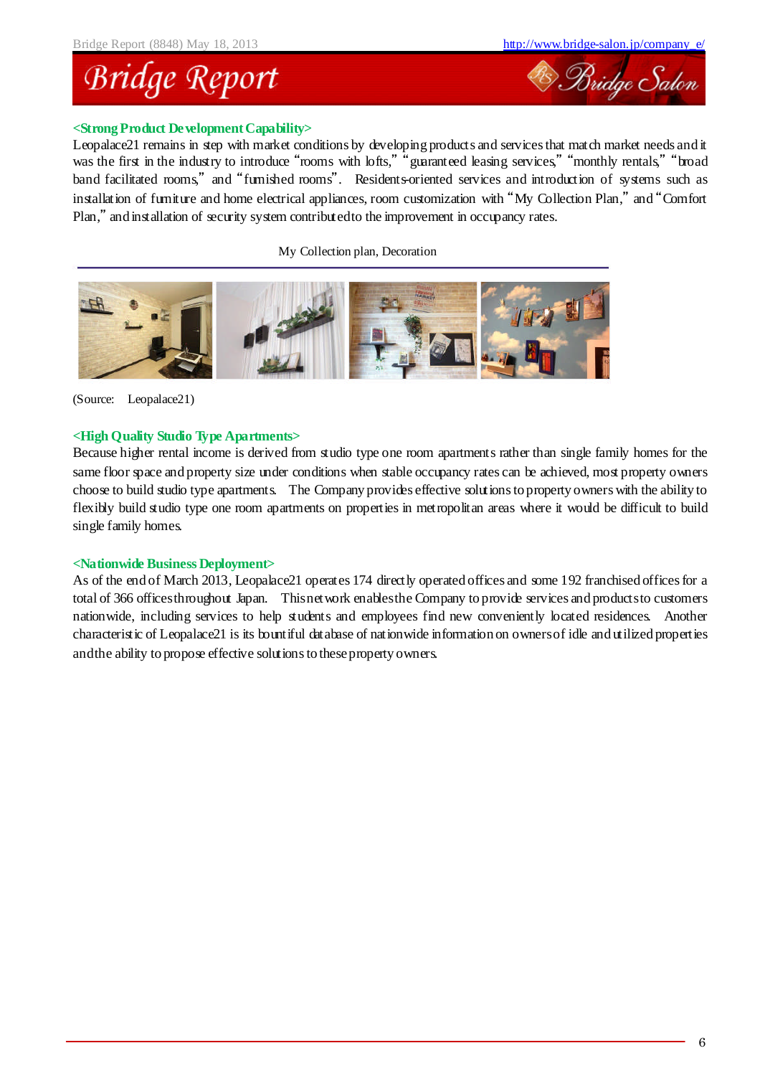

#### **<Strong Product DevelopmentCapability>**

Leopalace21 remains in step with market conditions by developing products and services that match market needs and it was the first in the industry to introduce "rooms with lofts," "guaranteed leasing services," "monthly rentals," "broad band facilitated rooms," and "furnished rooms". Residents-oriented services and introduction of systems such as installation of furniture and home electrical appliances, room customization with "My Collection Plan," and "Comfort Plan," and installation of security system contributedto the improvement in occupancy rates.

My Collection plan, Decoration



(Source: Leopalace21)

#### **<High Quality Studio Type Apartments>**

Because higher rental income is derived from studio type one room apartments rather than single family homes for the same floor space and property size under conditions when stable occupancy rates can be achieved, most property owners choose to build studio type apartments. The Company provides effective solutions to property owners with the ability to flexibly build studio type one room apartments on properties in metropolitan areas where it would be difficult to build single family homes.

#### **<Nationwide Business Deployment>**

As of the end of March 2013, Leopalace21 operates 174 directly operated offices and some 192 franchised offices for a total of 366 officesthroughout Japan. Thisnetwork enablesthe Company to provide services and productsto customers nationwide, including services to help students and employees find new conveniently located residences. Another characteristic of Leopalace21 is its bountiful database of nationwide information on ownersof idle and utilized properties andthe ability to propose effective solutions to theseproperty owners.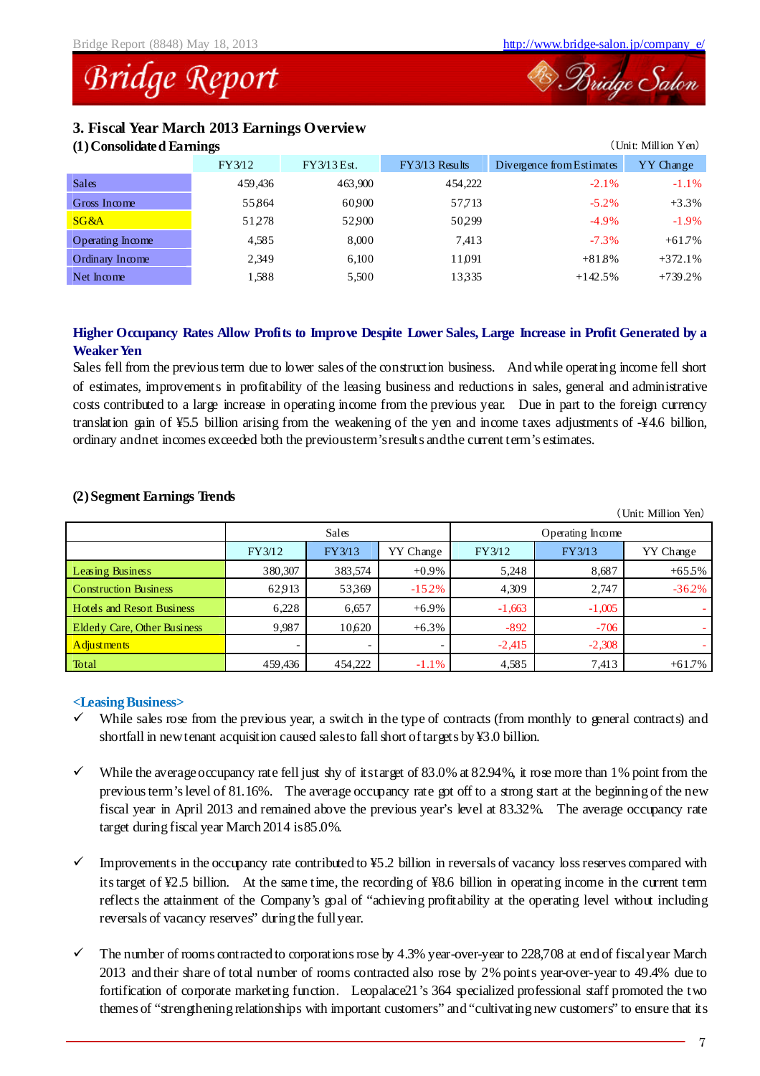### **Bridge Report**

#### **3. Fiscal Year March 2013 Earnings Overview**

#### **(1)Consolidated Earnings** (Unit: Million Yen)

| (1) Consontate a Partings |         |             | . онг. тангон тап |                           |           |  |
|---------------------------|---------|-------------|-------------------|---------------------------|-----------|--|
|                           | FY3/12  | FY3/13 Est. | $FY3/13$ Results  | Divergence from Estimates | YY Change |  |
| Sales.                    | 459,436 | 463,900     | 454,222           | $-2.1\%$                  | $-1.1\%$  |  |
| Gross Income              | 55864   | 60900       | 57,713            | $-5.2\%$                  | $+3.3%$   |  |
| SG&A                      | 51278   | 52900       | 50299             | $-4.9\%$                  | $-1.9\%$  |  |
| Operating Income          | 4,585   | 8.000       | 7,413             | $-7.3\%$                  | $+61.7%$  |  |
| Ordinary Income           | 2,349   | 6,100       | 11,091            | $+818%$                   | $+372.1%$ |  |
| Net Income                | 1,588   | 5,500       | 13335             | $+142.5%$                 | $+739.2%$ |  |
|                           |         |             |                   |                           |           |  |

### **Higher Occupancy Rates Allow Profits to Improve Despite Lower Sales, Large Increase in Profit Generated by a Weaker Yen**

Sales fell from the previous term due to lower sales of the construction business. And while operating income fell short of estimates, improvements in profitability of the leasing business and reductions in sales, general and administrative costs contributed to a large increase in operating income from the previous year. Due in part to the foreign currency translation gain of  $\frac{1}{2}5.5$  billion arising from the weakening of the yen and income taxes adjustments of  $\frac{1}{4}4.6$  billion, ordinary andnet incomes exceeded both the previousterm'sresults andthe current term's estimates.

|                                   |         |                          |           |                  |          | (Unit: Million Yen) |  |
|-----------------------------------|---------|--------------------------|-----------|------------------|----------|---------------------|--|
|                                   |         | <b>Sales</b>             |           | Operating Income |          |                     |  |
|                                   | FY3/12  | FY3/13                   | YY Change | FY3/12           | FY3/13   | YY Change           |  |
| Leasing Business                  | 380,307 | 383,574                  | $+0.9\%$  | 5,248            | 8,687    | $+655\%$            |  |
| <b>Construction Business</b>      | 62913   | 53369                    | $-152%$   | 4,309            | 2,747    | $-362%$             |  |
| <b>Hotels and Resort Business</b> | 6.228   | 6,657                    | $+6.9\%$  | $-1,663$         | $-1,005$ |                     |  |
| Elderly Care, Other Business      | 9.987   | 10,620                   | $+6.3\%$  | $-892$           | $-706$   |                     |  |
| <b>Adjustments</b>                |         | $\overline{\phantom{0}}$ |           | $-2,415$         | $-2,308$ |                     |  |
| Total                             | 459.436 | 454,222                  | $-1.1%$   | 4,585            | 7.413    | $+61.7%$            |  |

#### **(2)Segment Earnings Trends**

#### **<Leasing Business>**

- $\checkmark$  While sales rose from the previous year, a switch in the type of contracts (from monthly to general contracts) and shortfall in newtenant acquisition caused salesto fall short oftargets by ¥3.0 billion.
- While the average occupancy rate fell just shy of itstarget of  $83.0\%$  at  $82.94\%$ , it rose more than 1% point from the previous term's level of 81.16%. The average occupancy rate got off to a strong start at the beginning of the new fiscal year in April 2013 and remained above the previous year's level at 83.32%. The average occupancy rate target during fiscal year March 2014 is85.0%.
- $\checkmark$  Improvements in the occupancy rate contributed to ¥5.2 billion in reversals of vacancy loss reserves compared with its target of ¥2.5 billion. At the same time, the recording of ¥8.6 billion in operating income in the current term reflects the attainment of the Company's goal of "achieving profitability at the operating level without including reversals of vacancy reserves" during the fullyear.
- The number of rooms contracted to corporations rose by 4.3% year-over-year to 228,708 at end of fiscal year March 2013 and their share of total number of rooms contracted also rose by 2% points year-over-year to 49.4% due to fortification of corporate marketing function. Leopalace21's 364 specialized professional staff promoted the two themes of "strengthening relationships with important customers" and "cultivating new customers" to ensure that its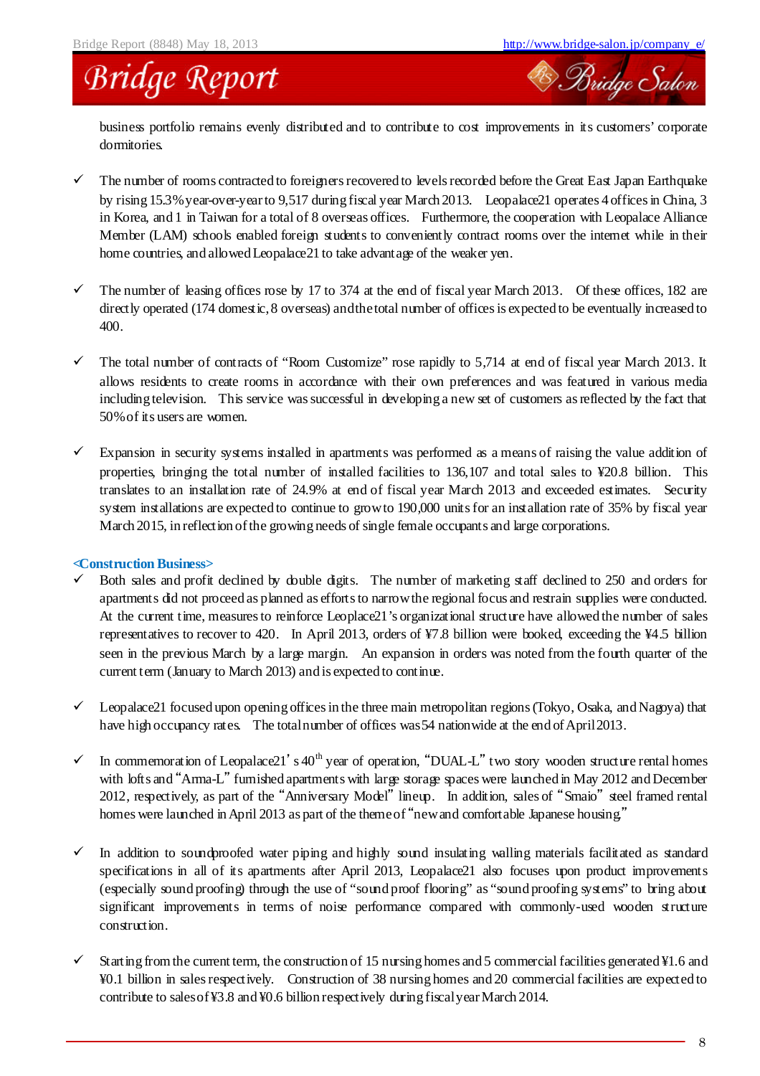

business portfolio remains evenly distributed and to contribute to cost improvements in its customers' corporate dormitories.

- $\checkmark$  The number of rooms contracted to foreigners recovered to levels recorded before the Great East Japan Earthquake by rising 15.3%year-over-yearto 9,517 during fiscal year March 2013. Leopalace21 operates 4 offices in China, 3 in Korea, and 1 in Taiwan for a total of 8 overseas offices. Furthermore, the cooperation with Leopalace Alliance Member (LAM) schools enabled foreign students to conveniently contract rooms over the internet while in their home countries, and allowed Leopalace21 to take advantage of the weaker yen.
- The number of leasing offices rose by 17 to 374 at the end of fiscal year March 2013. Of these offices, 182 are directly operated (174 domestic, 8 overseas) and the total number of offices is expected to be eventually increased to 400.
- $\checkmark$  The total number of contracts of "Room Customize" rose rapidly to 5,714 at end of fiscal year March 2013. It allows residents to create rooms in accordance with their own preferences and was featured in various media including television. This service was successful in developing a new set of customers as reflected by the fact that 50%of its users are women.
- $\checkmark$  Expansion in security systems installed in apartments was performed as a means of raising the value addition of properties, bringing the total number of installed facilities to 136,107 and total sales to ¥20.8 billion. This translates to an installation rate of 24.9% at end of fiscal year March 2013 and exceeded estimates. Security system installations are expected to continue to growto 190,000 units for an installation rate of 35% by fiscal year March 2015, in reflection of the growing needs of single female occupants and large corporations.

#### **<Construction Business>**

- $\checkmark$  Both sales and profit declined by double digits. The number of marketing staff declined to 250 and orders for apartments did not proceed as planned as efforts to narrowthe regional focus and restrain supplies were conducted. At the current time, measures to reinforce Leoplace21's organizational structure have allowed the number of sales representatives to recover to 420. In April 2013, orders of ¥7.8 billion were booked, exceeding the ¥4.5 billion seen in the previous March by a large margin. An expansion in orders was noted from the fourth quarter of the current term (January to March 2013) and is expected to continue.
- Leopalace21 focused upon opening offices in the three main metropolitan regions (Tokyo, Osaka, and Nagoya) that have high occupancy rates. The total number of offices was 54 nation wide at the end of April 2013.
- In commemoration of Leopalace21's  $40^{\text{th}}$  year of operation, "DUAL-L" two story wooden structure rental homes with lofts and "Arma-L" furnished apartments with large storage spaces were launched in May 2012 and December 2012, respectively, as part of the "Anniversary Model" lineup. In addition, sales of "Smaio" steel framed rental homes were launched in April 2013 as part of the theme of "new and comfortable Japanese housing."
- $\checkmark$  In addition to soundproofed water piping and highly sound insulating walling materials facilitated as standard specifications in all of its apartments after April 2013, Leopalace21 also focuses upon product improvements (especially sound proofing) through the use of "sound proof flooring" as "sound proofing systems" to bring about significant improvements in terms of noise performance compared with commonly-used wooden structure construction.
- $\checkmark$  Starting from the current term, the construction of 15 nursing homes and 5 commercial facilities generated ¥1.6 and ¥0.1 billion in sales respectively. Construction of 38 nursing homes and 20 commercial facilities are expected to contribute to sales of ¥3.8 and ¥0.6 billion respectively during fiscal year March 2014.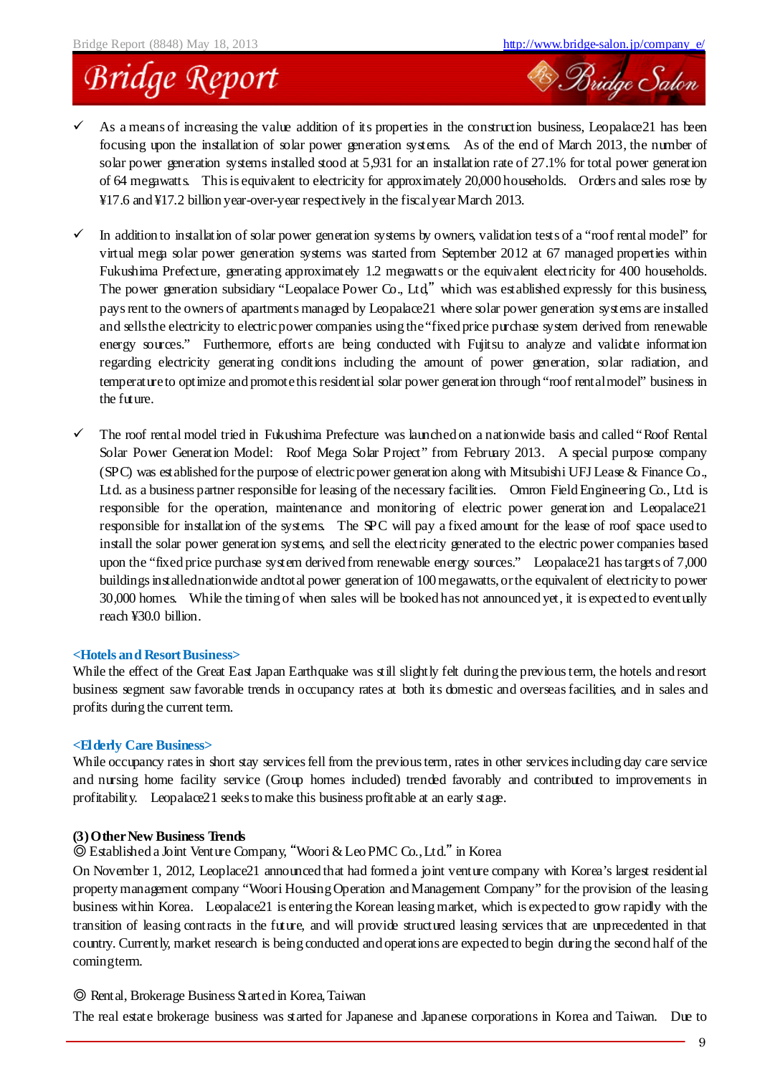<sup>2</sup> Bridge Salon

### **Bridge Report**

- $\checkmark$  As a means of increasing the value addition of its properties in the construction business, Leopalace21 has been focusing upon the installation of solar power generation systems. As of the end of March 2013, the number of solar power generation systems installed stood at 5,931 for an installation rate of 27.1% for total power generation of 64 megawatts. This is equivalent to electricity for approximately 20,000 households. Orders and sales rose by ¥17.6 and ¥17.2 billion year-over-year respectively in the fiscalyearMarch 2013.
- In addition to installation of solar power generation systems by owners, validation tests of a "roof rental model" for virtual mega solar power generation systems was started from September 2012 at 67 managed properties within Fukushima Prefecture, generating approximately 1.2 megawatts or the equivalent electricity for 400 households. The power generation subsidiary "Leopalace Power Co., Ltd," which was established expressly for this business, pays rent to the owners of apartments managed by Leopalace21 where solar power generation systems are installed and sells the electricity to electric power companies using the "fixed price purchase system derived from renewable energy sources." Furthermore, efforts are being conducted with Fujitsu to analyze and validate information regarding electricity generating conditions including the amount of power generation, solar radiation, and temperatureto optimize and promotethis residential solar power generation through "roof rentalmodel" business in the future.
- $\checkmark$  The roof rental model tried in Fukushima Prefecture was launched on a nationwide basis and called "Roof Rental" Solar Power Generation Model: Roof Mega Solar Project" from February 2013. A special purpose company (SPC) was established for the purpose of electric power generation along with Mitsubishi UFJ Lease  $\&$  Finance Co., Ltd. as a business partner responsible for leasing of the necessary facilities. Omron Field Engineering Co., Ltd. is responsible for the operation, maintenance and monitoring of electric power generation and Leopalace21 responsible for installation of the systems. The SPC will pay a fixed amount for the lease of roof space used to install the solar power generation systems, and sell the electricity generated to the electric power companies based upon the "fixed price purchase system derived from renewable energy sources." Leopalace21 has targets of 7,000 buildings installednationwide andtotal power generation of 100 megawatts,orthe equivalent of electricity to power 30,000 homes. While the timing of when sales will be booked has not announced yet, it is expected to eventually reach ¥30.0 billion.

#### **<Hotels and ResortBusiness>**

While the effect of the Great East Japan Earthquake was still slightly felt during the previous term, the hotels and resort business segment saw favorable trends in occupancy rates at both its domestic and overseas facilities, and in sales and profits during the current term.

#### **<Elderly Care Business>**

While occupancy rates in short stay services fell from the previous term, rates in other services including day care service and nursing home facility service (Group homes included) trended favorably and contributed to improvements in profitability. Leopalace21 seeks to make this business profitable at an early stage.

#### **(3)OtherNew Business Trends**

◎ Established a Joint Venture Company, "Woori & Leo PMC Co.,Ltd." in Korea

On November 1, 2012, Leoplace21 announced that had formed a joint venture company with Korea's largest residential property management company "Woori Housing Operation and Management Company" for the provision of the leasing business within Korea. Leopalace21 is entering the Korean leasing market, which is expected to grow rapidly with the transition of leasing contracts in the future, and will provide structured leasing services that are unprecedented in that country. Currently, market research is being conducted and operations are expected to begin during the second half of the comingterm.

#### ◎ Rental, Brokerage Business Started in Korea,Taiwan

The real estate brokerage business was started for Japanese and Japanese corporations in Korea and Taiwan. Due to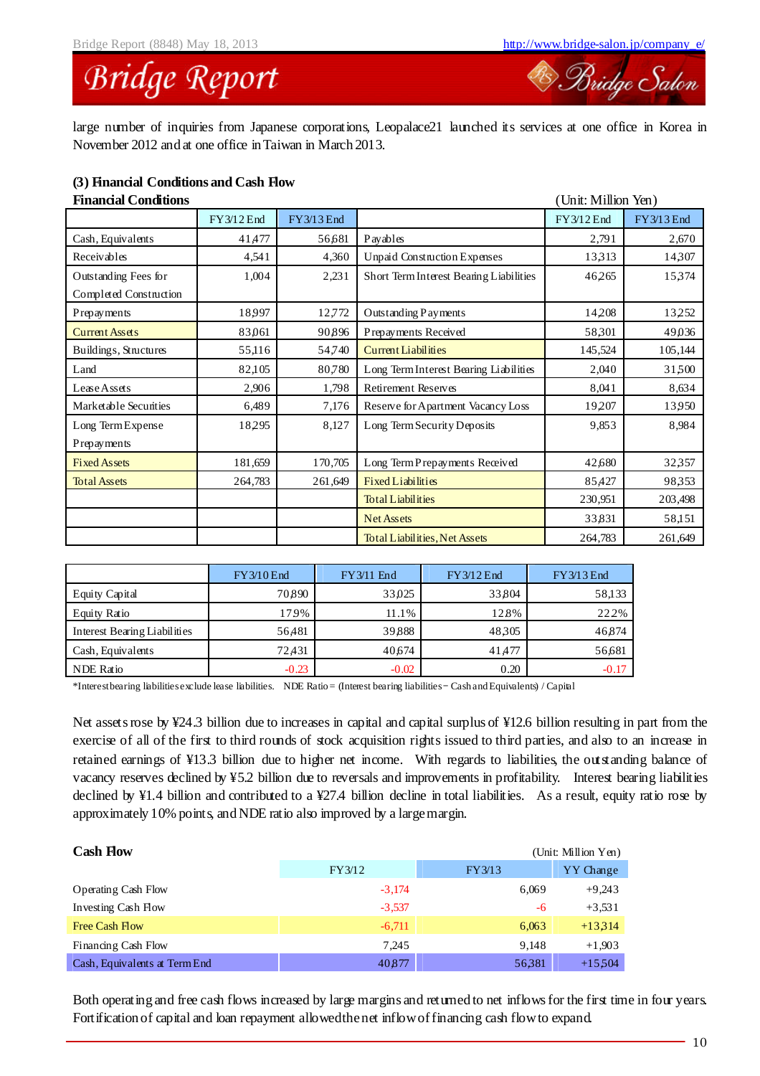### **Bridge Report**

large number of inquiries from Japanese corporations, Leopalace21 launched its services at one office in Korea in November 2012 and at one office in Taiwan in March 2013.

#### **(3) Financial Conditions and Cash Flow**

| <b>Financial Conditions</b> |            |            |                                         | (Unit: Million Yen) |            |
|-----------------------------|------------|------------|-----------------------------------------|---------------------|------------|
|                             | FY3/12 End | FY3/13 End |                                         | FY3/12 End          | FY3/13 End |
| Cash, Equivalents           | 41,477     | 56,681     | Payables                                | 2,791               | 2,670      |
| Receivables                 | 4,541      | 4,360      | <b>Unpaid Construction Expenses</b>     | 13313               | 14,307     |
| Outstanding Fees for        | 1,004      | 2,231      | Short Term Interest Bearing Liabilities | 46,265              | 15,374     |
| Completed Construction      |            |            |                                         |                     |            |
| Prepayments                 | 18997      | 12,772     | Outstanding Payments                    | 14,208              | 13,252     |
| <b>Current Assets</b>       | 83,061     | 90896      | Prepayments Received                    | 58,301              | 49,036     |
| Buildings, Structures       | 55,116     | 54,740     | <b>Current Liabilities</b>              | 145,524             | 105,144    |
| Land                        | 82,105     | 80,780     | Long Term Interest Bearing Liabilities  | 2,040               | 31,500     |
| Lease Assets                | 2,906      | 1,798      | <b>Retirement Reserves</b>              | 8,041               | 8,634      |
| Marketable Securities       | 6,489      | 7,176      | Reserve for Apartment Vacancy Loss      | 19207               | 13,950     |
| Long Term Expense           | 18,295     | 8,127      | Long Term Security Deposits             | 9,853               | 8,984      |
| Prepayments                 |            |            |                                         |                     |            |
| <b>Fixed Assets</b>         | 181,659    | 170,705    | Long Term Prepayments Received          | 42,680              | 32357      |
| <b>Total Assets</b>         | 264,783    | 261,649    | <b>Fixed Liabilities</b>                | 85,427              | 98,353     |
|                             |            |            | <b>Total Liabilities</b>                | 230,951             | 203,498    |
|                             |            |            | <b>Net Assets</b>                       | 33,831              | 58,151     |
|                             |            |            | <b>Total Liabilities, Net Assets</b>    | 264,783             | 261,649    |

|                              | $FY3/10$ End | FY3/11 End | FY3/12 End | FY3/13 End |
|------------------------------|--------------|------------|------------|------------|
| Equity Capital               | 70.890       | 33,025     | 33804      | 58,133     |
| Equity Ratio                 | 179%         | 11.1%      | 12.8%      | 22.2%      |
| Interest Bearing Liabilities | 56,481       | 39888      | 48305      | 46,874     |
| Cash, Equivalents            | 72.431       | 40,674     | 41,477     | 56,681     |
| <b>NDE</b> Ratio             | $-0.23$      | $-0.02$    | 0.20       | $-0.17$    |

\*Interestbearing liabilitiesexclude lease liabilities. NDE Ratio = (Interest bearing liabilities– Cash and Equivalents) / Capital

Net assets rose by ¥24.3 billion due to increases in capital and capital surplus of ¥12.6 billion resulting in part from the exercise of all of the first to third rounds of stock acquisition rights issued to third parties, and also to an increase in retained earnings of ¥13.3 billion due to higher net income. With regards to liabilities, the outstanding balance of vacancy reserves declined by ¥5.2 billion due to reversals and improvements in profitability. Interest bearing liabilities declined by ¥1.4 billion and contributed to a ¥27.4 billion decline in total liabilities. As a result, equity ratio rose by approximately 10% points, and NDE ratio also improved by a largemargin.

| <b>Cash Flow</b>              |          |        | (Unit: Million Yen) |
|-------------------------------|----------|--------|---------------------|
|                               | FY3/12   | FY3/13 | YY Change           |
| <b>Operating Cash Flow</b>    | $-3.174$ | 6,069  | $+9.243$            |
| Investing Cash How            | $-3.537$ | -6     | $+3,531$            |
| Free Cash Flow                | $-6,711$ | 6,063  | $+13314$            |
| Financing Cash Flow           | 7.245    | 9.148  | $+1,903$            |
| Cash, Equivalents at Term End | 40877    | 56381  | $+15504$            |

Both operating and free cash flows increased by large margins and returned to net inflows for the first time in four years. Fortification of capital and loan repayment allowedthenet inflowoffinancing cash flowto expand.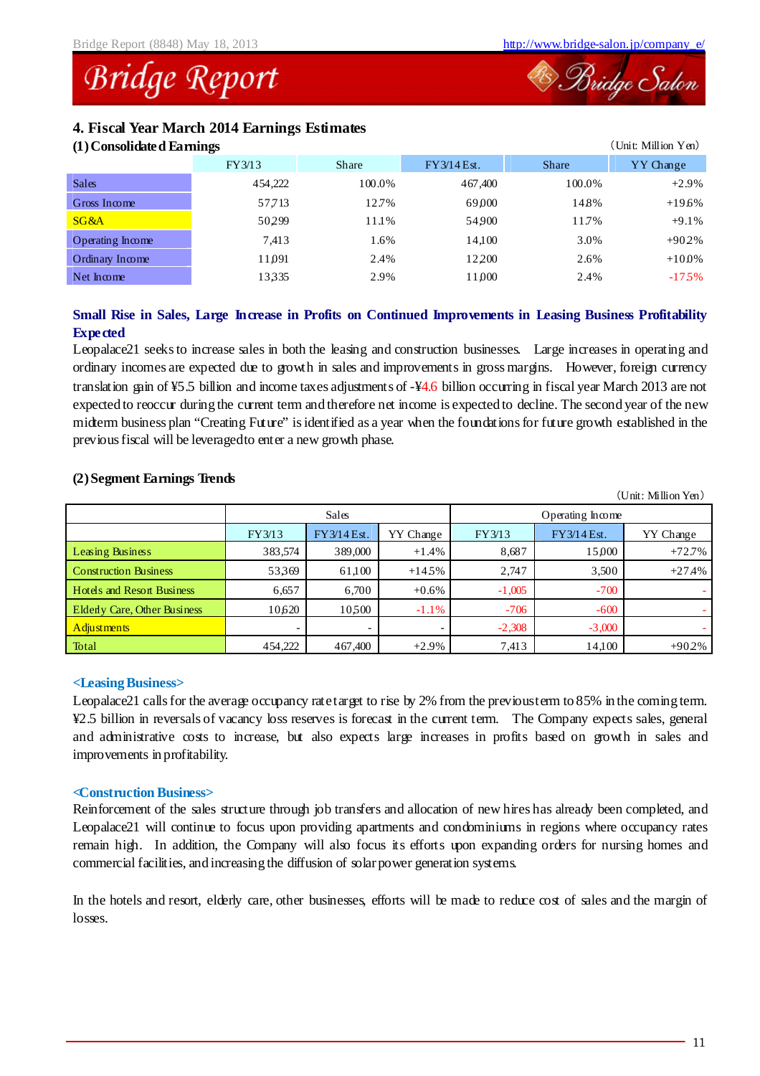### **Bridge Report**

#### **4. Fiscal Year March 2014 Earnings Estimates**

| (1) Consolidated Earnings |  |
|---------------------------|--|
|                           |  |

| (Unit: Million Yen)<br>(1) Consolidated Earnings |         |        |             |              |           |  |  |
|--------------------------------------------------|---------|--------|-------------|--------------|-----------|--|--|
|                                                  | FY3/13  | Share  | FY3/14 Est. | <b>Share</b> | YY Change |  |  |
| <b>Sales</b>                                     | 454,222 | 100.0% | 467,400     | 100.0%       | $+2.9%$   |  |  |
| Gross Income                                     | 57,713  | 12.7%  | 69000       | 14.8%        | $+19.6%$  |  |  |
| SG&A                                             | 50299   | 11.1%  | 54900       | 11.7%        | $+9.1%$   |  |  |
| Operating Income                                 | 7,413   | 1.6%   | 14.100      | 3.0%         | $+902%$   |  |  |
| Ordinary Income                                  | 11,091  | 2.4%   | 12200       | 2.6%         | $+100%$   |  |  |
| $Net$ m $com$                                    | 13335   | 2.9%   | 11,000      | 2.4%         | $-175%$   |  |  |

### **Small Rise in Sales, Large Increase in Profits on Continued Improvements in Leasing Business Profitability Expected**

Leopalace21 seeks to increase sales in both the leasing and construction businesses. Large increases in operating and ordinary incomes are expected due to growth in sales and improvements in gross margins. However, foreign currency translation gain of ¥5.5 billion and income taxes adjustments of -¥4.6 billion occurring in fiscal year March 2013 are not expected to reoccur during the current term and therefore net income is expected to decline. The second year of the new midterm business plan "Creating Future" is identified as a year when the foundations for future growth established in the previous fiscal will be leveragedto enter a new growth phase.

| $\epsilon$ , separate in the set of $\epsilon$ |                          |             |           |                  |             |                        |
|------------------------------------------------|--------------------------|-------------|-----------|------------------|-------------|------------------------|
|                                                |                          |             |           |                  |             | $(Unit: Million Yen))$ |
|                                                |                          | Sales       |           | Operating Income |             |                        |
|                                                | FY3/13                   | FY3/14 Est. | YY Change | FY3/13           | FY3/14 Est. | YY Change              |
| Leasing Business                               | 383,574                  | 389,000     | $+1.4%$   | 8,687            | 15,000      | $+72.7%$               |
| <b>Construction Business</b>                   | 53369                    | 61,100      | $+145%$   | 2,747            | 3,500       | $+27.4%$               |
| <b>Hotels and Resort Business</b>              | 6,657                    | 6,700       | $+0.6\%$  | $-1,005$         | $-700$      |                        |
| <b>Elderly Care, Other Business</b>            | 10,620                   | 10500       | $-1.1\%$  | $-706$           | $-600$      |                        |
| Adjustments                                    | $\overline{\phantom{0}}$ |             |           | $-2,308$         | $-3,000$    |                        |
| Total                                          | 454,222                  | 467,400     | $+2.9%$   | 7,413            | 14,100      | $+902%$                |

#### **(2)Segment Earnings Trends**

#### **<Leasing Business>**

Leopalace21 calls for the average occupancy ratetarget to rise by 2% from the previousterm to 85% in the coming term. ¥2.5 billion in reversals of vacancy loss reserves is forecast in the current term. The Company expects sales, general and administrative costs to increase, but also expects large increases in profits based on growth in sales and improvements in profitability.

#### **<Construction Business>**

Reinforcement of the sales structure through job transfers and allocation of new hires has already been completed, and Leopalace21 will continue to focus upon providing apartments and condominiums in regions where occupancy rates remain high. In addition, the Company will also focus its efforts upon expanding orders for nursing homes and commercial facilities, and increasing the diffusion of solarpower generation systems.

In the hotels and resort, elderly care, other businesses, efforts will be made to reduce cost of sales and the margin of losses.